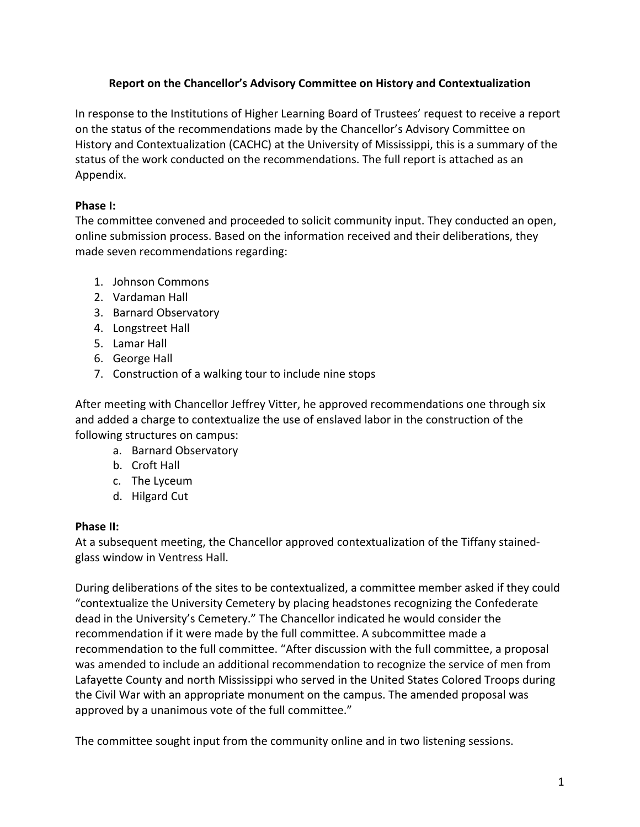## **Report on the Chancellor's Advisory Committee on History and Contextualization**

In response to the Institutions of Higher Learning Board of Trustees' request to receive a report on the status of the recommendations made by the Chancellor's Advisory Committee on History and Contextualization (CACHC) at the University of Mississippi, this is a summary of the status of the work conducted on the recommendations. The full report is attached as an Appendix.

# **Phase I:**

The committee convened and proceeded to solicit community input. They conducted an open, online submission process. Based on the information received and their deliberations, they made seven recommendations regarding:

- 1. Johnson Commons
- 2. Vardaman Hall
- 3. Barnard Observatory
- 4. Longstreet Hall
- 5. Lamar Hall
- 6. George Hall
- 7. Construction of a walking tour to include nine stops

After meeting with Chancellor Jeffrey Vitter, he approved recommendations one through six and added a charge to contextualize the use of enslaved labor in the construction of the following structures on campus:

- a. Barnard Observatory
- b. Croft Hall
- c. The Lyceum
- d. Hilgard Cut

## **Phase II:**

At a subsequent meeting, the Chancellor approved contextualization of the Tiffany stainedglass window in Ventress Hall.

During deliberations of the sites to be contextualized, a committee member asked if they could "contextualize the University Cemetery by placing headstones recognizing the Confederate dead in the University's Cemetery." The Chancellor indicated he would consider the recommendation if it were made by the full committee. A subcommittee made a recommendation to the full committee. "After discussion with the full committee, a proposal was amended to include an additional recommendation to recognize the service of men from Lafayette County and north Mississippi who served in the United States Colored Troops during the Civil War with an appropriate monument on the campus. The amended proposal was approved by a unanimous vote of the full committee."

The committee sought input from the community online and in two listening sessions.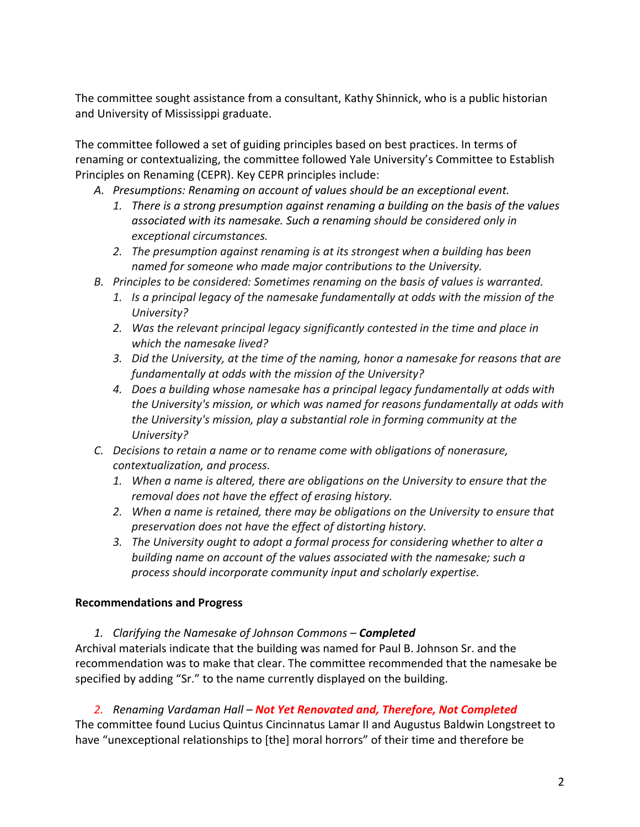The committee sought assistance from a consultant, Kathy Shinnick, who is a public historian and University of Mississippi graduate.

The committee followed a set of guiding principles based on best practices. In terms of renaming or contextualizing, the committee followed Yale University's Committee to Establish Principles on Renaming (CEPR). Key CEPR principles include:

- *A. Presumptions: Renaming on account of values should be an exceptional event.*
	- *1. There is a strong presumption against renaming a building on the basis of the values associated with its namesake. Such a renaming should be considered only in exceptional circumstances.*
	- *2. The presumption against renaming is at its strongest when a building has been named for someone who made major contributions to the University.*
- *B. Principles to be considered: Sometimes renaming on the basis of values is warranted.*
	- *1. Is a principal legacy of the namesake fundamentally at odds with the mission of the University?*
	- *2. Was the relevant principal legacy significantly contested in the time and place in which the namesake lived?*
	- *3. Did the University, at the time of the naming, honor a namesake for reasons that are fundamentally at odds with the mission of the University?*
	- *4. Does a building whose namesake has a principal legacy fundamentally at odds with the University's mission, or which was named for reasons fundamentally at odds with the University's mission, play a substantial role in forming community at the University?*
- *C. Decisions to retain a name or to rename come with obligations of nonerasure, contextualization, and process.*
	- *1. When a name is altered, there are obligations on the University to ensure that the removal does not have the effect of erasing history.*
	- *2. When a name is retained, there may be obligations on the University to ensure that preservation does not have the effect of distorting history.*
	- *3. The University ought to adopt a formal process for considering whether to alter a building name on account of the values associated with the namesake; such a process should incorporate community input and scholarly expertise.*

## **Recommendations and Progress**

*1. Clarifying the Namesake of Johnson Commons – Completed*

Archival materials indicate that the building was named for Paul B. Johnson Sr. and the recommendation was to make that clear. The committee recommended that the namesake be specified by adding "Sr." to the name currently displayed on the building.

## *2. Renaming Vardaman Hall – Not Yet Renovated and, Therefore, Not Completed*

The committee found Lucius Quintus Cincinnatus Lamar II and Augustus Baldwin Longstreet to have "unexceptional relationships to [the] moral horrors" of their time and therefore be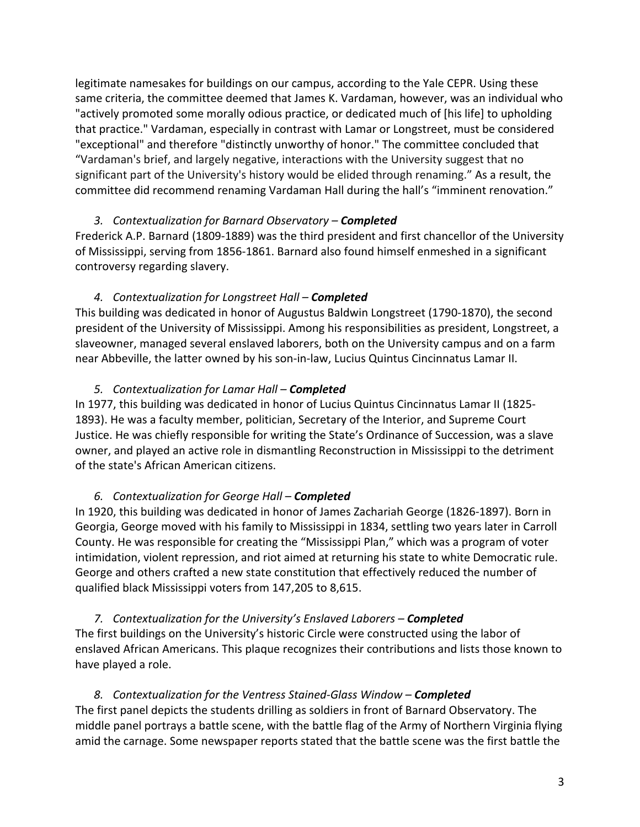legitimate namesakes for buildings on our campus, according to the Yale CEPR. Using these same criteria, the committee deemed that James K. Vardaman, however, was an individual who "actively promoted some morally odious practice, or dedicated much of [his life] to upholding that practice." Vardaman, especially in contrast with Lamar or Longstreet, must be considered "exceptional" and therefore "distinctly unworthy of honor." The committee concluded that "Vardaman's brief, and largely negative, interactions with the University suggest that no significant part of the University's history would be elided through renaming." As a result, the committee did recommend renaming Vardaman Hall during the hall's "imminent renovation."

## *3. Contextualization for Barnard Observatory – Completed*

Frederick A.P. Barnard (1809-1889) was the third president and first chancellor of the University of Mississippi, serving from 1856-1861. Barnard also found himself enmeshed in a significant controversy regarding slavery.

## *4. Contextualization for Longstreet Hall – Completed*

This building was dedicated in honor of Augustus Baldwin Longstreet (1790-1870), the second president of the University of Mississippi. Among his responsibilities as president, Longstreet, a slaveowner, managed several enslaved laborers, both on the University campus and on a farm near Abbeville, the latter owned by his son-in-law, Lucius Quintus Cincinnatus Lamar II.

#### *5. Contextualization for Lamar Hall – Completed*

In 1977, this building was dedicated in honor of Lucius Quintus Cincinnatus Lamar II (1825- 1893). He was a faculty member, politician, Secretary of the Interior, and Supreme Court Justice. He was chiefly responsible for writing the State's Ordinance of Succession, was a slave owner, and played an active role in dismantling Reconstruction in Mississippi to the detriment of the state's African American citizens.

## *6. Contextualization for George Hall – Completed*

In 1920, this building was dedicated in honor of James Zachariah George (1826-1897). Born in Georgia, George moved with his family to Mississippi in 1834, settling two years later in Carroll County. He was responsible for creating the "Mississippi Plan," which was a program of voter intimidation, violent repression, and riot aimed at returning his state to white Democratic rule. George and others crafted a new state constitution that effectively reduced the number of qualified black Mississippi voters from 147,205 to 8,615.

*7. Contextualization for the University's Enslaved Laborers – Completed* The first buildings on the University's historic Circle were constructed using the labor of enslaved African Americans. This plaque recognizes their contributions and lists those known to have played a role.

## *8. Contextualization for the Ventress Stained-Glass Window – Completed* The first panel depicts the students drilling as soldiers in front of Barnard Observatory. The middle panel portrays a battle scene, with the battle flag of the Army of Northern Virginia flying amid the carnage. Some newspaper reports stated that the battle scene was the first battle the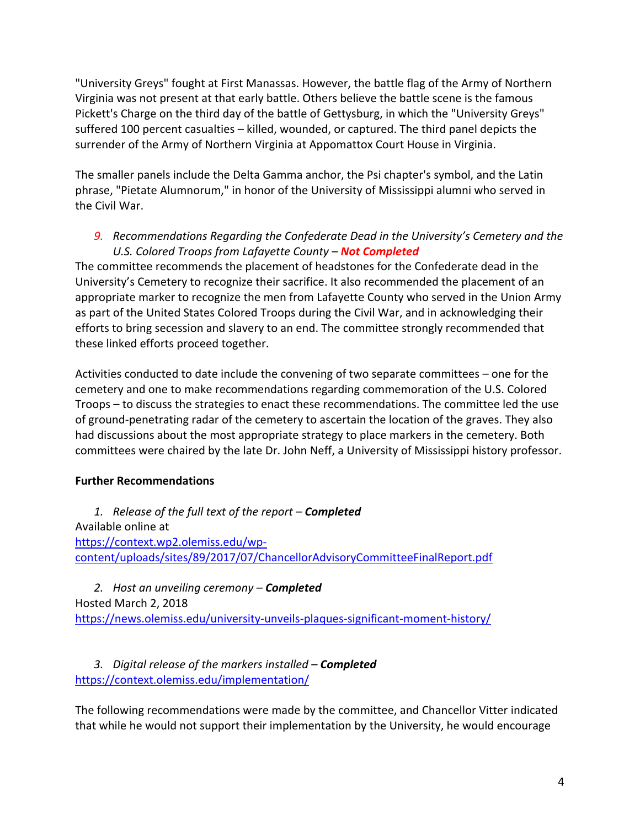"University Greys" fought at First Manassas. However, the battle flag of the Army of Northern Virginia was not present at that early battle. Others believe the battle scene is the famous Pickett's Charge on the third day of the battle of Gettysburg, in which the "University Greys" suffered 100 percent casualties – killed, wounded, or captured. The third panel depicts the surrender of the Army of Northern Virginia at Appomattox Court House in Virginia.

The smaller panels include the Delta Gamma anchor, the Psi chapter's symbol, and the Latin phrase, "Pietate Alumnorum," in honor of the University of Mississippi alumni who served in the Civil War.

## *9. Recommendations Regarding the Confederate Dead in the University's Cemetery and the U.S. Colored Troops from Lafayette County – Not Completed*

The committee recommends the placement of headstones for the Confederate dead in the University's Cemetery to recognize their sacrifice. It also recommended the placement of an appropriate marker to recognize the men from Lafayette County who served in the Union Army as part of the United States Colored Troops during the Civil War, and in acknowledging their efforts to bring secession and slavery to an end. The committee strongly recommended that these linked efforts proceed together.

Activities conducted to date include the convening of two separate committees – one for the cemetery and one to make recommendations regarding commemoration of the U.S. Colored Troops – to discuss the strategies to enact these recommendations. The committee led the use of ground-penetrating radar of the cemetery to ascertain the location of the graves. They also had discussions about the most appropriate strategy to place markers in the cemetery. Both committees were chaired by the late Dr. John Neff, a University of Mississippi history professor.

# **Further Recommendations**

*1. Release of the full text of the report – Completed* Available online at https://context.wp2.olemiss.edu/wpcontent/uploads/sites/89/2017/07/ChancellorAdvisoryCommitteeFinalReport.pdf

*2. Host an unveiling ceremony – Completed* Hosted March 2, 2018 https://news.olemiss.edu/university-unveils-plaques-significant-moment-history/

*3. Digital release of the markers installed – Completed* https://context.olemiss.edu/implementation/

The following recommendations were made by the committee, and Chancellor Vitter indicated that while he would not support their implementation by the University, he would encourage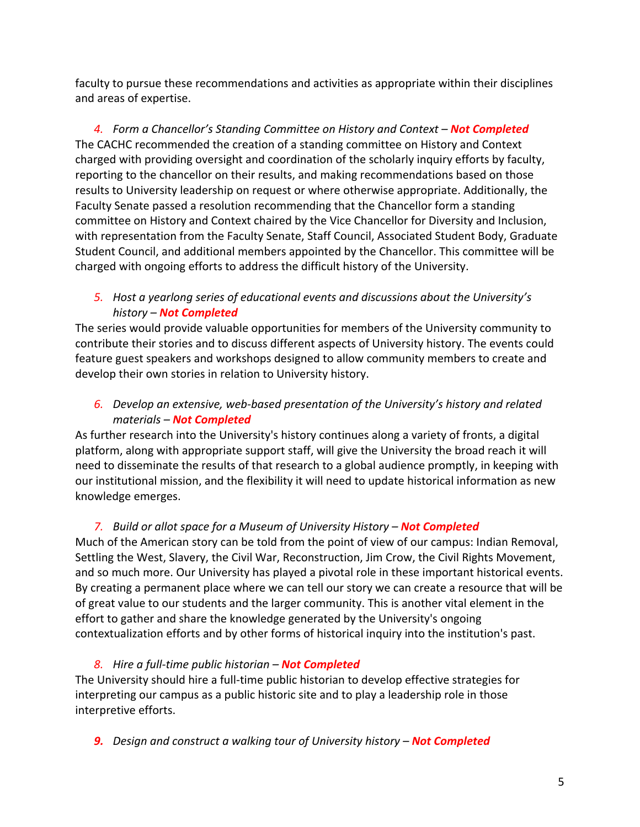faculty to pursue these recommendations and activities as appropriate within their disciplines and areas of expertise.

*4. Form a Chancellor's Standing Committee on History and Context – Not Completed* The CACHC recommended the creation of a standing committee on History and Context charged with providing oversight and coordination of the scholarly inquiry efforts by faculty, reporting to the chancellor on their results, and making recommendations based on those results to University leadership on request or where otherwise appropriate. Additionally, the Faculty Senate passed a resolution recommending that the Chancellor form a standing committee on History and Context chaired by the Vice Chancellor for Diversity and Inclusion, with representation from the Faculty Senate, Staff Council, Associated Student Body, Graduate Student Council, and additional members appointed by the Chancellor. This committee will be charged with ongoing efforts to address the difficult history of the University.

*5. Host a yearlong series of educational events and discussions about the University's history – Not Completed*

The series would provide valuable opportunities for members of the University community to contribute their stories and to discuss different aspects of University history. The events could feature guest speakers and workshops designed to allow community members to create and develop their own stories in relation to University history.

*6. Develop an extensive, web-based presentation of the University's history and related materials – Not Completed*

As further research into the University's history continues along a variety of fronts, a digital platform, along with appropriate support staff, will give the University the broad reach it will need to disseminate the results of that research to a global audience promptly, in keeping with our institutional mission, and the flexibility it will need to update historical information as new knowledge emerges.

# *7. Build or allot space for a Museum of University History – Not Completed*

Much of the American story can be told from the point of view of our campus: Indian Removal, Settling the West, Slavery, the Civil War, Reconstruction, Jim Crow, the Civil Rights Movement, and so much more. Our University has played a pivotal role in these important historical events. By creating a permanent place where we can tell our story we can create a resource that will be of great value to our students and the larger community. This is another vital element in the effort to gather and share the knowledge generated by the University's ongoing contextualization efforts and by other forms of historical inquiry into the institution's past.

## *8. Hire a full-time public historian – Not Completed*

The University should hire a full-time public historian to develop effective strategies for interpreting our campus as a public historic site and to play a leadership role in those interpretive efforts.

*9. Design and construct a walking tour of University history – Not Completed*